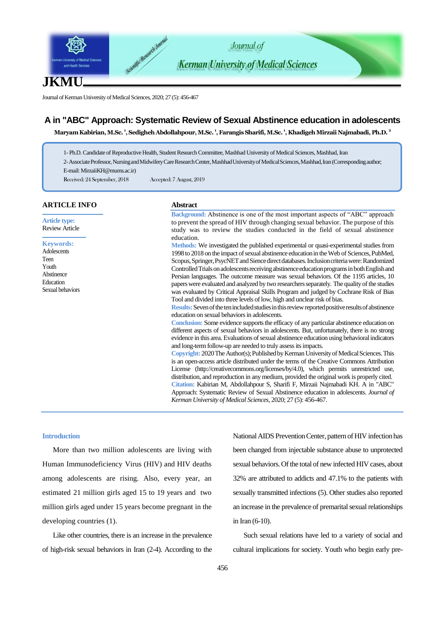

Journal of Kerman University of Medical Sciences, 2020; 27 (5): 456-467

# **A in "ABC" Approach: Systematic Review of Sexual Abstinence education in adolescents**

**Maryam Kabirian, M.Sc. <sup>1</sup> , Sedigheh Abdollahpour, M.Sc. <sup>1</sup> , Farangis Sharifi, M.Sc. <sup>1</sup> , Khadigeh Mirzaii Najmabadi, Ph.D. <sup>2</sup>**

1- Ph.D. Candidate of Reproductive Health, Student Research Committee, Mashhad University of Medical Sciences, Mashhad, Iran

2-Associate Professor, Nursing and Midwifery Care Research Center, Mashhad University of Medical Sciences, Mashhad, Iran (Correspondingauthor;

E-mail: MirzaiiKH@mums.ac.ir)

Received: 24 September, 2018 Accepted: 7 August, 2019

## **ARTICLE INFO**

**Article type:** Review Article

### **Keywords:**

Adolescents Teen Youth Abstinence Education Sexual behaviors

### **Abstract**

**Background:** Abstinence is one of the most important aspects of "ABC" approach to prevent the spread of HIV through changing sexual behavior. The purpose of this study was to review the studies conducted in the field of sexual abstinence education.

**Methods:** We investigated the published experimental or quasi-experimental studies from 1998 to 2018 on the impact of sexual abstinence education in the Web of Sciences, PubMed, Scopus, Springer, PsycNET and Sience direct databases. Inclusion criteria were: Randomized Controlled Trials on adolescents receiving abstinence education programs in both English and Persian languages. The outcome measure was sexual behaviors. Of the 1195 articles, 10 papers were evaluated and analyzed by two researchers separately. The quality of the studies was evaluated by Critical Appraisal Skills Program and judged by Cochrane Risk of Bias Tool and divided into three levels of low, high and unclear risk of bias.

**Results:**Seven of the ten included studies in this review reported positive results of abstinence education on sexual behaviors in adolescents.

**Conclusion:** Some evidence supports the efficacy of any particular abstinence education on different aspects of sexual behaviors in adolescents. But, unfortunately, there is no strong evidence in this area. Evaluations of sexual abstinence education using behavioral indicators and long-term follow-up are needed to truly assess its impacts.

**Copyright:** 2020The Author(s); Published by Kerman University of Medical Sciences. This is an open-access article distributed under the terms of the Creative Commons Attribution License (http://creativecommons.org/licenses/by/4.0), which permits unrestricted use, distribution, and reproduction in any medium, provided the original work is properly cited. **Citation:** Kabirian M, Abdollahpour S, Sharifi F, Mirzaii Najmabadi KH. A in "ABC" Approach: Systematic Review of Sexual Abstinence education in adolescents. *Journal of Kerman University of Medical Sciences*, 2020; 27 (5): 456-467.

## **Introduction**

More than two million adolescents are living with Human Immunodeficiency Virus (HIV) and HIV deaths among adolescents are rising. Also, every year, an estimated 21 million girls aged 15 to 19 years and two million girls aged under 15 years become pregnant in the developing countries (1).

Like other countries, there is an increase in the prevalence of high-risk sexual behaviors in Iran (2-4). According to the National AIDS Prevention Center, pattern of HIV infection has been changed from injectable substance abuse to unprotected sexual behaviors. Of the total of new infected HIV cases, about 32% are attributed to addicts and 47.1% to the patients with sexually transmitted infections (5). Other studies also reported an increase in the prevalence of premarital sexual relationships in Iran (6-10).

Such sexual relations have led to a variety of social and cultural implications for society. Youth who begin early pre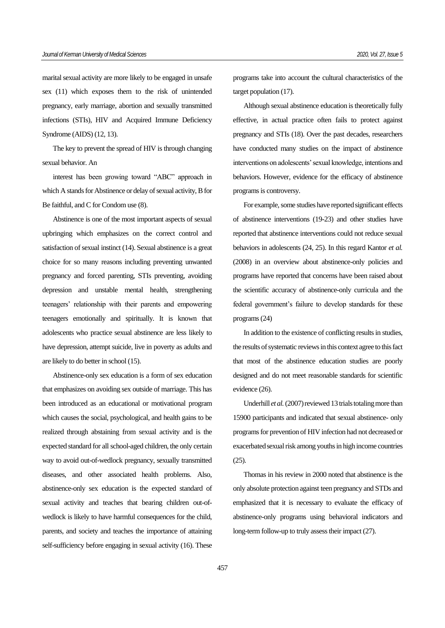marital sexual activity are more likely to be engaged in unsafe sex (11) which exposes them to the risk of unintended pregnancy, early marriage, abortion and sexually transmitted infections (STIs), HIV and Acquired Immune Deficiency Syndrome (AIDS) (12, 13).

The key to prevent the spread of HIV is through changing sexual behavior. An

interest has been growing toward "ABC" approach in which A stands for Abstinence or delay of sexual activity, B for Be faithful, and C for Condom use (8).

Abstinence is one of the most important aspects of sexual upbringing which emphasizes on the correct control and satisfaction of sexual instinct (14). Sexual abstinence is a great choice for so many reasons including preventing unwanted pregnancy and forced parenting, STIs preventing, avoiding depression and unstable mental health, strengthening teenagers' relationship with their parents and empowering teenagers emotionally and spiritually. It is known that adolescents who practice sexual abstinence are less likely to have depression, attempt suicide, live in poverty as adults and are likely to do better in school (15).

Abstinence-only sex education is a form of sex education that emphasizes on avoiding sex outside of marriage. This has been introduced as an educational or motivational program which causes the social, psychological, and health gains to be realized through abstaining from sexual activity and is the expected standard for all school-aged children, the only certain way to avoid out-of-wedlock pregnancy, sexually transmitted diseases, and other associated health problems. Also, abstinence-only sex education is the expected standard of sexual activity and teaches that bearing children out-ofwedlock is likely to have harmful consequences for the child, parents, and society and teaches the importance of attaining self-sufficiency before engaging in sexual activity (16). These programs take into account the cultural characteristics of the target population (17).

Although sexual abstinence education is theoretically fully effective, in actual practice often fails to protect against pregnancy and STIs (18). Over the past decades, researchers have conducted many studies on the impact of abstinence interventions on adolescents' sexual knowledge, intentions and behaviors. However, evidence for the efficacy of abstinence programs is controversy.

For example, some studies have reported significant effects of abstinence interventions (19-23) and other studies have reported that abstinence interventions could not reduce sexual behaviors in adolescents (24, 25). In this regard Kantor *et al.* (2008) in an overview about abstinence-only policies and programs have reported that concerns have been raised about the scientific accuracy of abstinence-only curricula and the federal government's failure to develop standards for these programs (24)

In addition to the existence of conflicting results in studies, the results of systematic reviews in this context agree to this fact that most of the abstinence education studies are poorly designed and do not meet reasonable standards for scientific evidence (26).

Underhill *et al.*(2007) reviewed 13 trials totaling more than 15900 participants and indicated that sexual abstinence- only programs for prevention of HIV infection had not decreased or exacerbated sexual risk among youths in high income countries (25).

Thomas in his review in 2000 noted that abstinence is the only absolute protection against teen pregnancy and STDs and emphasized that it is necessary to evaluate the efficacy of abstinence-only programs using behavioral indicators and long-term follow-up to truly assess their impact (27).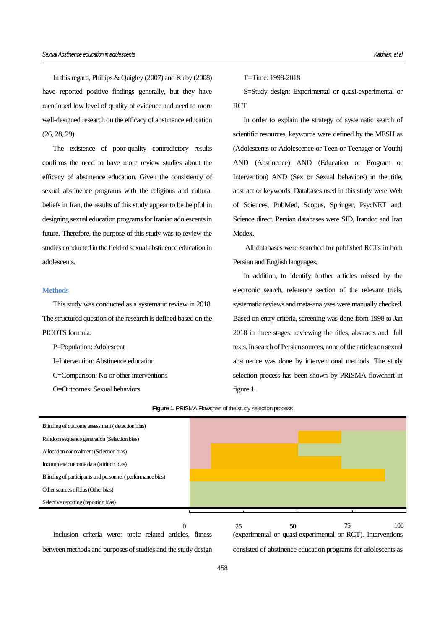In this regard, Phillips & Quigley (2007) and Kirby (2008) have reported positive findings generally, but they have mentioned low level of quality of evidence and need to more well-designed research on the efficacy of abstinence education (26, 28, 29).

The existence of poor-quality contradictory results confirms the need to have more review studies about the efficacy of abstinence education. Given the consistency of sexual abstinence programs with the religious and cultural beliefs in Iran, the results of this study appear to be helpful in designing sexual education programs for Iranian adolescents in future. Therefore, the purpose of this study was to review the studies conducted in the field of sexual abstinence education in adolescents.

### **Methods**

This study was conducted as a systematic review in 2018. The structured question of the research is defined based on the PICOTS formula:

P=Population: Adolescent I=Intervention: Abstinence education C=Comparison: No or other interventions O=Outcomes: Sexual behaviors

T=Time: 1998-2018

S=Study design: Experimental or quasi-experimental or **RCT** 

In order to explain the strategy of systematic search of scientific resources, keywords were defined by the MESH as (Adolescents or Adolescence or Teen or Teenager or Youth) AND (Abstinence) AND (Education or Program or Intervention) AND (Sex or Sexual behaviors) in the title, abstract or keywords. Databases used in this study were Web of Sciences, PubMed, Scopus, Springer, PsycNET and Science direct. Persian databases were SID, Irandoc and Iran Medex.

All databases were searched for published RCTs in both Persian and English languages.

In addition, to identify further articles missed by the electronic search, reference section of the relevant trials, systematic reviews and meta-analyses were manually checked. Based on entry criteria, screening was done from 1998 to Jan 2018 in three stages: reviewing the titles, abstracts and full texts. In search of Persian sources, none of the articles on sexual abstinence was done by interventional methods. The study selection process has been shown by PRISMA flowchart in figure 1.



### **Figure 1.** PRISMA Flowchart of the study selection process

between methods and purposes of studies and the study design

consisted of abstinence education programs for adolescents as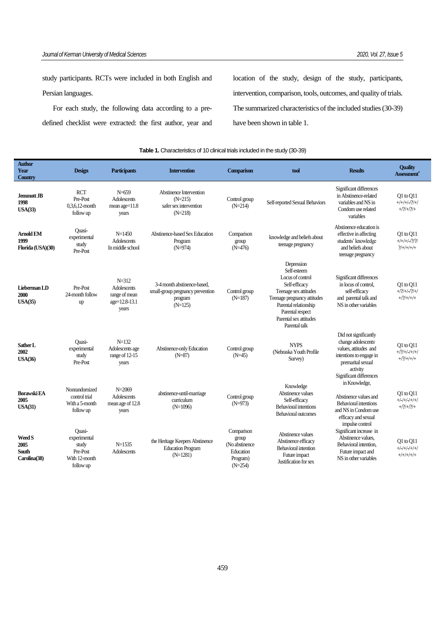study participants. RCTs were included in both English and Persian languages.

For each study, the following data according to a predefined checklist were extracted: the first author, year and location of the study, design of the study, participants, intervention, comparison, tools, outcomes, and quality of trials. The summarized characteristics of the included studies (30-39) have been shown in table 1.

## **Table 1.** Characteristics of 10 clinical trials included in the study (30-39)

| Author<br>Year<br>Country                             | <b>Design</b>                                                                    | <b>Participants</b>                                                 | <b>Intervention</b>                                                                     | Comparison                                                                   | tool                                                                                                                                                                                                           | <b>Results</b>                                                                                                                                              | <b>Ouality</b><br><b>Assessment</b> ®                |
|-------------------------------------------------------|----------------------------------------------------------------------------------|---------------------------------------------------------------------|-----------------------------------------------------------------------------------------|------------------------------------------------------------------------------|----------------------------------------------------------------------------------------------------------------------------------------------------------------------------------------------------------------|-------------------------------------------------------------------------------------------------------------------------------------------------------------|------------------------------------------------------|
| Jemmott JB<br>1998<br>USA(33)                         | <b>RCT</b><br>Pre-Post<br>$0.3.6.12$ -month<br>follow up                         | $N=659$<br><b>Adolescents</b><br>mean $age=11.8$<br>years           | Abstinence Intervention<br>$(N=215)$<br>safer sex intervention<br>$(N=218)$             | Control group<br>$(N=214)$                                                   | Self-reported Sexual Behaviors                                                                                                                                                                                 | Significant differences<br>in Abstinence-related<br>variables and NS in<br>Condom use related<br>variables                                                  | $Q1$ to $Q11$<br>$+/+/+/+/-/?)/+/$<br>$+2/2+2/2+$    |
| <b>Arnold EM</b><br>1999<br>Florida (USA)(30)         | Ouasi-<br>experimental<br>study<br>Pre-Post                                      | $N=1450$<br><b>Adolescents</b><br>In middle school                  | Abstinence-based Sex Education<br>Program<br>$(N=974)$                                  | Comparison<br>group<br>$(N=476)$                                             | knowledge and beliefs about<br>teenage pregnancy                                                                                                                                                               | Abstinence education is<br>effective in affecting<br>students' knowledge<br>and beliefs about<br>teenage pregnancy                                          | $Q1$ to $Q11$<br>$+/+/+/-/?)$<br>$2/+/+/+/+$         |
| Lieberman LD<br>2000<br>USA(35)                       | Pre-Post<br>24-month follow<br>up                                                | $N = 312$<br>Adolescents<br>range of mean<br>age=12.8-13.1<br>years | 3-4 month abstinence-based.<br>small-group pregnancy prevention<br>program<br>$(N=125)$ | Control group<br>$(N=187)$                                                   | Depression<br>Self-esteem<br>Locus of control<br>Self-efficacy<br>Teenage sex attitudes<br>Teenage pregnancy attitudes<br>Parental relationship<br>Parental respect<br>Parental sex attitudes<br>Parental talk | Significant differences<br>in locus of control.<br>self-efficacy<br>and parental talk and<br>NS in other variables                                          | O1 to O11<br>$+$ /?/+/-/?/+/<br>$+$ /?/+/+/+         |
| Sather L<br>2002<br>USA(36)                           | <b>Ouasi-</b><br>experimental<br>study<br>Pre-Post                               | $N=132$<br>Adolescents age<br>range of 12-15<br>vears               | Abstinence-only Education<br>$(N=87)$                                                   | Control group<br>$(N=45)$                                                    | <b>NYPS</b><br>(Nebraska Youth Profile<br>Survey)                                                                                                                                                              | Did not significantly<br>change adolescents<br>values, attitudes and<br>intentions to engage in<br>premarital sexual<br>activity<br>Significant differences | $Q1$ to $Q11$<br>$+$ /?/+/-/+/+/<br>$+$ / $?$ /+/+/+ |
| <b>Borawski EA</b><br>2005<br>USA(31)                 | Nonrandomized<br>control trial<br>With a 5-month<br>follow up                    | $N = 2069$<br>Adolescents<br>mean age of 12.8<br>years              | abstinence-until-marriage<br>curriculum<br>$(N=1096)$                                   | Control group<br>$(N=973)$                                                   | Knowledge<br>Abstinence values<br>Self-efficacy<br><b>Behavioral intentions</b><br><b>Behavioral outcomes</b>                                                                                                  | in Knowledge,<br>Abstinence values and<br><b>Behavioral intentions</b><br>and NS in Condom use<br>efficacy and sexual                                       | $Q1$ to $Q11$<br>$+/-/+/+/+/+/$<br>$+2/2+2/2+$       |
| <b>Weed S</b><br>2005<br><b>South</b><br>Carolina(38) | <b>Ouasi-</b><br>experimental<br>study<br>Pre-Post<br>With 12-month<br>follow up | $N = 1535$<br>Adolescents                                           | the Heritage Keepers Abstinence<br><b>Education Program</b><br>$(N=1281)$               | Comparison<br>group<br>(No abstinence)<br>Education<br>Program)<br>$(N=254)$ | Abstinence values<br>Abstinence efficacy<br><b>Behavioral intention</b><br>Future impact<br>Justification for sex                                                                                              | impulse control<br>Significant increase in<br>Abstinence values.<br>Behavioral intention,<br>Future impact and<br>NS in other variables                     | Q1 to Q11<br>$+/-/+/-/+/+/-$<br>$+/+/+/+/+$          |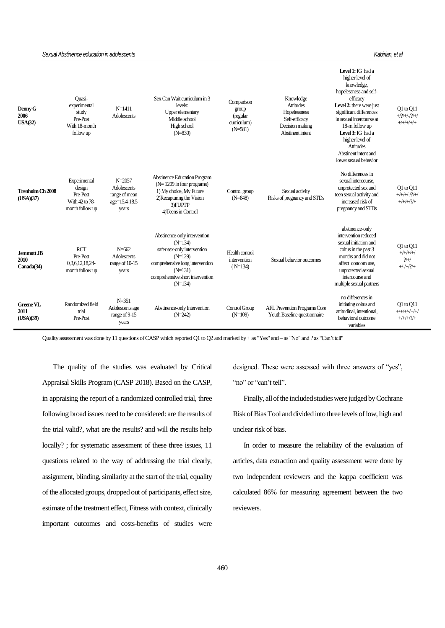### *Sexual Abstinence education in adolescents Kabirian, et al*

| Denny G<br>2006<br>USA(32)       | Ouasi-<br>experimental<br>study<br>Pre-Post<br>With 18-month<br>follow up | $N = 1411$<br>Adolescents                                            | Sex Can Wait curriculum in 3<br>levels:<br>Upper elementary<br>Middle school<br>High school<br>$(N=830)$                                                                               | Comparison<br>group<br>(regular<br>curriculum)<br>$(N=581)$ | Knowledge<br><b>Attitudes</b><br>Hopelessness<br>Self-efficacy<br>Decision making<br>Abstinent intent | Level 1: IG had a<br>higher level of<br>knowledge,<br>hopelessness and self-<br>efficacy<br>Level 2: there were just<br>significant differences<br>in sexual intercourse at<br>18-m follow up<br>Level 3: IG had a<br>higher level of<br><b>Attitudes</b><br>Abstinent intent and<br>lower sexual behavior | Q1 to Q11<br>$+$ / $?$ /+/-/?/+/<br>$+/+/+/+/+)$  |
|----------------------------------|---------------------------------------------------------------------------|----------------------------------------------------------------------|----------------------------------------------------------------------------------------------------------------------------------------------------------------------------------------|-------------------------------------------------------------|-------------------------------------------------------------------------------------------------------|------------------------------------------------------------------------------------------------------------------------------------------------------------------------------------------------------------------------------------------------------------------------------------------------------------|---------------------------------------------------|
| Trenholm Ch 2008<br>(USA)(37)    | Experimental<br>design<br>Pre-Post<br>With 42 to 78-<br>month follow up   | $N = 2057$<br>Adolescents<br>range of mean<br>age=15.4-18.5<br>years | <b>Abstinence Education Program</b><br>$(N=1209$ in four programs)<br>1) My choice, My Future<br>2) Recapturing the Vision<br>3)FUPTP<br>4) Teens in Control                           | Control group<br>$(N=848)$                                  | Sexual activity<br>Risks of pregnancy and STDs                                                        | No differences in<br>sexual intercourse.<br>unprotected sex and<br>teen sexual activity and<br>increased risk of<br>pregnancy and STDs                                                                                                                                                                     | $Q1$ to $Q11$<br>$+/+/+/+/2/+/$<br>$+/+/+/?)/+$   |
| Jemmott JB<br>2010<br>Canada(34) | <b>RCT</b><br>Pre-Post<br>0,3,6,12,18,24<br>month follow up               | $N=662$<br>Adolescents<br>range of 10-15<br>years                    | Abstinence-only intervention<br>$(N=134)$<br>safer sex-only intervention<br>$(N=129)$<br>comprehensive long intervention<br>$(N=131)$<br>comprehensive short intervention<br>$(N=134)$ | Health control<br>intervention<br>$(N=134)$                 | Sexual behavior outcomes                                                                              | abstinence-only<br>intervention reduced<br>sexual initiation and<br>coitus in the past 3<br>months and did not<br>affect condom use.<br>unprotected sexual<br>intercourse and<br>multiple sexual partners                                                                                                  | Q1 to Q11<br>$+/+/+/+/$<br>$2/+/$<br>$+/-/+/?)/+$ |
| Greene VL<br>2011<br>(USA)(39)   | Randomized field<br>trial<br>Pre-Post                                     | $N = 351$<br>Adolescents age<br>range of 9-15<br>years               | Abstinence-only Intervention<br>$(N=242)$                                                                                                                                              | Control Group<br>$(N=109)$                                  | AFL Prevention Programs Core<br>Youth Baseline questionnaire                                          | no differences in<br>initiating coitus and<br>attitudinal, intentional,<br>behavioral outcome<br>variables                                                                                                                                                                                                 | $Q1$ to $Q11$<br>$+/+/+/+/+/+)$<br>$+/+/+/?)/+$   |

Quality assessment was done by 11 questions of CASP which reported Q1 to Q2 and marked by + as "Yes" and – as "No" and ? as "Can't tell"

The quality of the studies was evaluated by Critical Appraisal Skills Program (CASP 2018). Based on the CASP, in appraising the report of a randomized controlled trial, three following broad issues need to be considered: are the results of the trial valid?, what are the results? and will the results help locally? ; for systematic assessment of these three issues, 11 questions related to the way of addressing the trial clearly, assignment, blinding, similarity at the start of the trial, equality of the allocated groups, dropped out of participants, effect size, estimate of the treatment effect, Fitness with context, clinically important outcomes and costs-benefits of studies were

designed. These were assessed with three answers of "yes", "no" or "can't tell".

Finally, all of the included studies were judged by Cochrane Risk of Bias Tool and divided into three levels of low, high and unclear risk of bias.

In order to measure the reliability of the evaluation of articles, data extraction and quality assessment were done by two independent reviewers and the kappa coefficient was calculated 86% for measuring agreement between the two reviewers.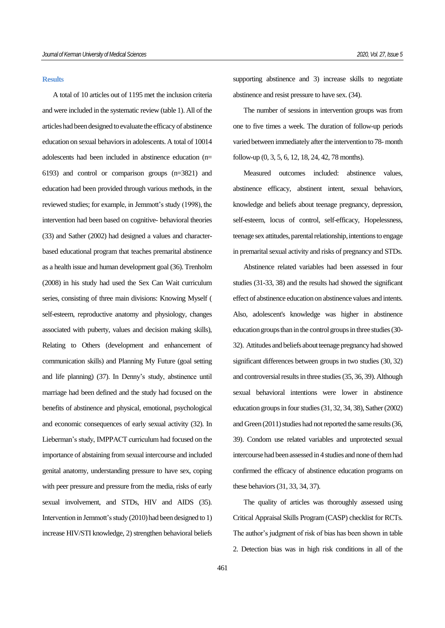### **Results**

A total of 10 articles out of 1195 met the inclusion criteria and were included in the systematic review (table 1). All of the articles had been designed to evaluate the efficacy of abstinence education on sexual behaviors in adolescents. A total of 10014 adolescents had been included in abstinence education (n= 6193) and control or comparison groups (n=3821) and education had been provided through various methods, in the reviewed studies; for example, in Jemmott's study (1998), the intervention had been based on cognitive- behavioral theories (33) and Sather (2002) had designed a values and characterbased educational program that teaches premarital abstinence as a health issue and human development goal (36). Trenholm (2008) in his study had used the Sex Can Wait curriculum series, consisting of three main divisions: Knowing Myself ( self-esteem, reproductive anatomy and physiology, changes associated with puberty, values and decision making skills), Relating to Others (development and enhancement of communication skills) and Planning My Future (goal setting and life planning) (37). In Denny's study, abstinence until marriage had been defined and the study had focused on the benefits of abstinence and physical, emotional, psychological and economic consequences of early sexual activity (32). In Lieberman's study, IMPPACT curriculum had focused on the importance of abstaining from sexual intercourse and included genital anatomy, understanding pressure to have sex, coping with peer pressure and pressure from the media, risks of early sexual involvement, and STDs, HIV and AIDS (35). Intervention in Jemmott's study (2010) had been designed to 1) increase HIV/STI knowledge, 2) strengthen behavioral beliefs supporting abstinence and 3) increase skills to negotiate abstinence and resist pressure to have sex. (34).

The number of sessions in intervention groups was from one to five times a week. The duration of follow-up periods varied between immediately after the intervention to 78-month follow-up (0, 3, 5, 6, 12, 18, 24, 42, 78 months).

Measured outcomes included: abstinence values, abstinence efficacy, abstinent intent, sexual behaviors, knowledge and beliefs about teenage pregnancy, depression, self-esteem, locus of control, self-efficacy, Hopelessness, teenage sex attitudes, parental relationship, intentions to engage in premarital sexual activity and risks of pregnancy and STDs.

Abstinence related variables had been assessed in four studies (31-33, 38) and the results had showed the significant effect of abstinence education on abstinence values and intents. Also, adolescent's knowledge was higher in abstinence education groups than in the control groups in three studies (30- 32). Attitudes and beliefs about teenage pregnancy had showed significant differences between groups in two studies (30, 32) and controversial results in three studies (35, 36, 39). Although sexual behavioral intentions were lower in abstinence education groups in four studies (31, 32, 34, 38), Sather (2002) and Green (2011) studies had not reported the same results (36, 39). Condom use related variables and unprotected sexual intercourse had been assessed in 4 studies and none of them had confirmed the efficacy of abstinence education programs on these behaviors (31, 33, 34, 37).

The quality of articles was thoroughly assessed using Critical Appraisal Skills Program (CASP) checklist for RCTs. The author's judgment of risk of bias has been shown in table 2. Detection bias was in high risk conditions in all of the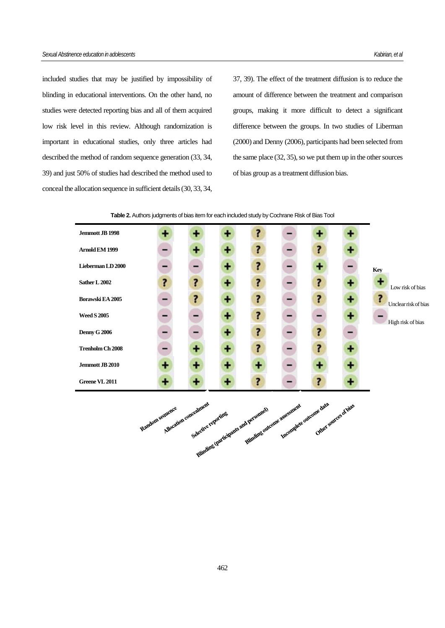included studies that may be justified by impossibility of blinding in educational interventions. On the other hand, no studies were detected reporting bias and all of them acquired low risk level in this review. Although randomization is important in educational studies, only three articles had described the method of random sequence generation (33, 34, 39) and just 50% of studies had described the method used to conceal the allocation sequence in sufficient details (30, 33, 34, 37, 39). The effect of the treatment diffusion is to reduce the amount of difference between the treatment and comparison groups, making it more difficult to detect a significant difference between the groups. In two studies of Liberman (2000) and Denny (2006), participants had been selected from the same place (32, 35), so we put them up in the other sources of bias group as a treatment diffusion bias.





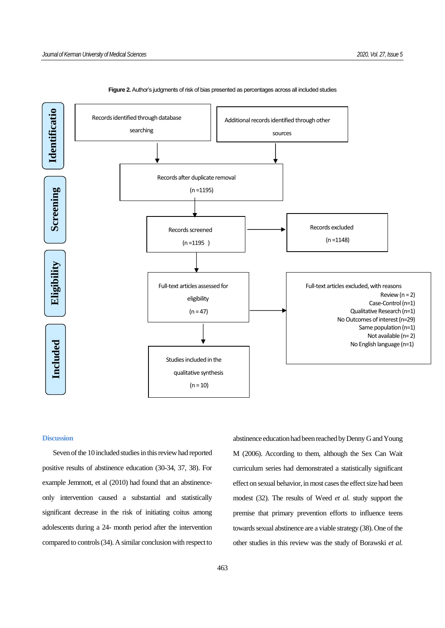

### **Figure 2.** Author's judgments of risk of bias presented as percentages across all included studies

## **Discussion**

Seven of the 10 included studies in this review had reported positive results of abstinence education (30-34, 37, 38). For example Jemmott, et al (2010) had found that an abstinenceonly intervention caused a substantial and statistically significant decrease in the risk of initiating coitus among adolescents during a 24- month period after the intervention compared to controls (34). A similar conclusion with respect to

abstinence education had been reached by Denny G and Young M (2006). According to them, although the Sex Can Wait curriculum series had demonstrated a statistically significant effect on sexual behavior, in most cases the effect size had been modest (32). The results of Weed *et al.* study support the premise that primary prevention efforts to influence teens towards sexual abstinence are a viable strategy (38). One of the other studies in this review was the study of Borawski *et al*.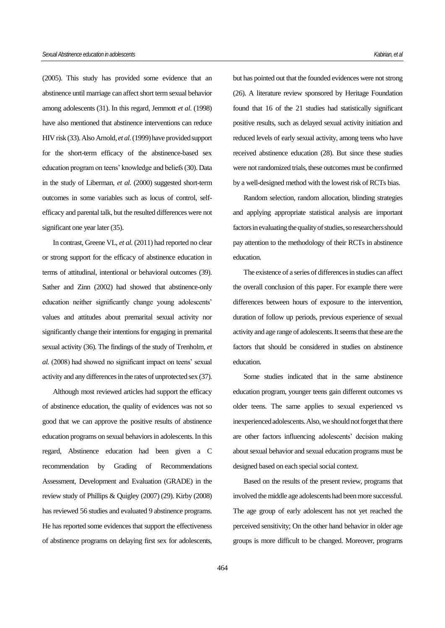(2005). This study has provided some evidence that an abstinence until marriage can affect short term sexual behavior among adolescents (31). In this regard, Jemmott *et al*. (1998) have also mentioned that abstinence interventions can reduce HIV risk (33). Also Arnold, *et al.*(1999) have provided support for the short-term efficacy of the abstinence-based sex education program on teens' knowledge and beliefs (30). Data in the study of Liberman, *et al*. (2000) suggested short-term outcomes in some variables such as locus of control, selfefficacy and parental talk, but the resulted differences were not significant one year later (35).

In contrast, Greene VL, *et al.* (2011) had reported no clear or strong support for the efficacy of abstinence education in terms of attitudinal, intentional or behavioral outcomes (39). Sather and Zinn (2002) had showed that abstinence-only education neither significantly change young adolescents' values and attitudes about premarital sexual activity nor significantly change their intentions for engaging in premarital sexual activity (36). The findings of the study of Trenholm, *et al.* (2008) had showed no significant impact on teens' sexual activity and any differences in the rates of unprotected sex (37).

Although most reviewed articles had support the efficacy of abstinence education, the quality of evidences was not so good that we can approve the positive results of abstinence education programs on sexual behaviors in adolescents. In this regard, Abstinence education had been given a C recommendation by Grading of Recommendations Assessment, Development and Evaluation (GRADE) in the review study of Phillips & Quigley (2007) (29). Kirby (2008) has reviewed 56 studies and evaluated 9 abstinence programs. He has reported some evidences that support the effectiveness of abstinence programs on delaying first sex for adolescents,

but has pointed out that the founded evidences were not strong (26). A literature review sponsored by Heritage Foundation found that 16 of the 21 studies had statistically significant positive results, such as delayed sexual activity initiation and reduced levels of early sexual activity, among teens who have received abstinence education (28). But since these studies were not randomized trials, these outcomes must be confirmed by a well-designed method with the lowest risk of RCTs bias.

Random selection, random allocation, blinding strategies and applying appropriate statistical analysis are important factors in evaluating the quality of studies, so researchers should pay attention to the methodology of their RCTs in abstinence education.

The existence of a series of differences in studies can affect the overall conclusion of this paper. For example there were differences between hours of exposure to the intervention, duration of follow up periods, previous experience of sexual activity and age range of adolescents. It seems that these are the factors that should be considered in studies on abstinence education.

Some studies indicated that in the same abstinence education program, younger teens gain different outcomes vs older teens. The same applies to sexual experienced vs inexperienced adolescents. Also, we should not forget that there are other factors influencing adolescents' decision making about sexual behavior and sexual education programs must be designed based on each special social context.

Based on the results of the present review, programs that involved the middle age adolescents had been more successful. The age group of early adolescent has not yet reached the perceived sensitivity; On the other hand behavior in older age groups is more difficult to be changed. Moreover, programs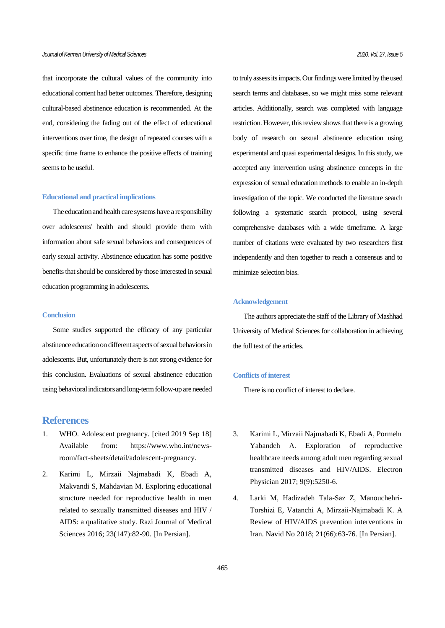that incorporate the cultural values of the community into educational content had better outcomes. Therefore, designing cultural-based abstinence education is recommended. At the end, considering the fading out of the effect of educational interventions over time, the design of repeated courses with a specific time frame to enhance the positive effects of training seems to be useful.

### **Educational and practical implications**

The education and health care systems have a responsibility over adolescents' health and should provide them with information about safe sexual behaviors and consequences of early sexual activity. Abstinence education has some positive benefits that should be considered by those interested in sexual education programming in adolescents.

## **Conclusion**

Some studies supported the efficacy of any particular abstinence education on different aspects of sexual behaviors in adolescents. But, unfortunately there is not strong evidence for this conclusion. Evaluations of sexual abstinence education using behavioral indicators and long-term follow-up are needed

# **References**

- 1. WHO. Adolescent pregnancy. [cited 2019 Sep 18] Available from: https://www.who.int/newsroom/fact-sheets/detail/adolescent-pregnancy.
- 2. Karimi L, Mirzaii Najmabadi K, Ebadi A, Makvandi S, Mahdavian M. Exploring educational structure needed for reproductive health in men related to sexually transmitted diseases and HIV / AIDS: a qualitative study. Razi Journal of Medical Sciences 2016; 23(147):82-90. [In Persian].

to truly assess its impacts. Our findings were limited by the used search terms and databases, so we might miss some relevant articles. Additionally, search was completed with language restriction. However, this review shows that there is a growing body of research on sexual abstinence education using experimental and quasi experimental designs. In this study, we accepted any intervention using abstinence concepts in the expression of sexual education methods to enable an in-depth investigation of the topic. We conducted the literature search following a systematic search protocol, using several comprehensive databases with a wide timeframe. A large number of citations were evaluated by two researchers first independently and then together to reach a consensus and to minimize selection bias.

### **Acknowledgement**

The authors appreciate the staff of the Library of Mashhad University of Medical Sciences for collaboration in achieving the full text of the articles.

### **Conflicts of interest**

There is no conflict of interest to declare.

- 3. Karimi L, Mirzaii Najmabadi K, Ebadi A, Pormehr Yabandeh A. Exploration of reproductive healthcare needs among adult men regarding sexual transmitted diseases and HIV/AIDS. Electron Physician 2017; 9(9):5250-6.
- 4. Larki M, Hadizadeh Tala-Saz Z, Manouchehri-Torshizi E, Vatanchi A, Mirzaii-Najmabadi K. A Review of HIV/AIDS prevention interventions in Iran. Navid No 2018; 21(66):63-76. [In Persian].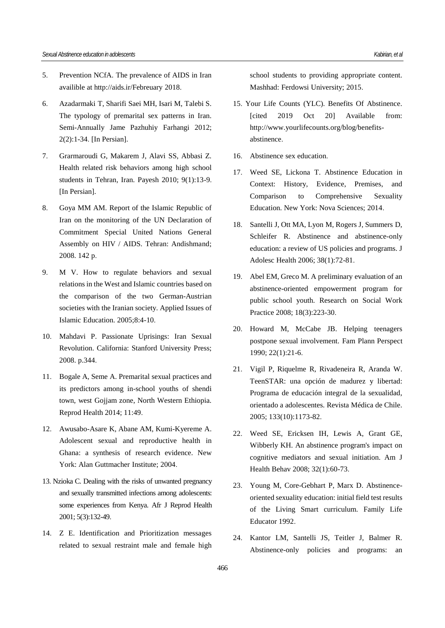- 5. Prevention NCfA. The prevalence of AIDS in Iran availible at<http://aids.ir/Febreuary> 2018.
- 6. Azadarmaki T, Sharifi Saei MH, Isari M, Talebi S. The typology of premarital sex patterns in Iran. Semi-Annually Jame Pazhuhiy Farhangi 2012; 2(2):1-34. [In Persian].
- 7. Grarmaroudi G, Makarem J, Alavi SS, Abbasi Z. Health related risk behaviors among high school students in Tehran, Iran. Payesh 2010; 9(1):13-9. [In Persian].
- 8. Goya MM AM. Report of the Islamic Republic of Iran on the monitoring of the UN Declaration of Commitment Special United Nations General Assembly on HIV / AIDS. Tehran: Andishmand; 2008. 142 p.
- 9. M V. How to regulate behaviors and sexual relations in the West and Islamic countries based on the comparison of the two German-Austrian societies with the Iranian society. Applied Issues of Islamic Education. 2005;8:4-10.
- 10. Mahdavi P. Passionate Uprisings: Iran Sexual Revolution. California: Stanford University Press; 2008. p.344.
- 11. Bogale A, Seme A. Premarital sexual practices and its predictors among in-school youths of shendi town, west Gojjam zone, North Western Ethiopia. Reprod Health 2014; 11:49.
- 12. Awusabo-Asare K, Abane AM, Kumi-Kyereme A. Adolescent sexual and reproductive health in Ghana: a synthesis of research evidence. New York: Alan Guttmacher Institute; 2004.
- 13. Nzioka C. Dealing with the risks of unwanted pregnancy and sexually transmitted infections among adolescents: some experiences from Kenya. Afr J Reprod Health 2001; 5(3):132-49.
- 14. Z E. Identification and Prioritization messages related to sexual restraint male and female high

school students to providing appropriate content. Mashhad: Ferdowsi University; 2015.

- 15. Your Life Counts (YLC). Benefits Of Abstinence. [cited 2019 Oct 20] Available from: [http://www.yourlifecounts.org/blog/benefits](http://www.yourlifecounts.org/blog/benefits-abstinence))[abstinence.](http://www.yourlifecounts.org/blog/benefits-abstinence))
- 16. Abstinence sex education.
- 17. Weed SE, Lickona T. Abstinence Education in Context: History, Evidence, Premises, and Comparison to Comprehensive Sexuality Education. New York: Nova Sciences; 2014.
- 18. Santelli J, Ott MA, Lyon M, Rogers J, Summers D, Schleifer R. Abstinence and abstinence-only education: a review of US policies and programs. J Adolesc Health 2006; 38(1):72-81.
- 19. Abel EM, Greco M. A preliminary evaluation of an abstinence-oriented empowerment program for public school youth. Research on Social Work Practice 2008; 18(3):223-30.
- 20. Howard M, McCabe JB. Helping teenagers postpone sexual involvement. Fam Plann Perspect 1990; 22(1):21-6.
- 21. Vigil P, Riquelme R, Rivadeneira R, Aranda W. TeenSTAR: una opción de madurez y libertad: Programa de educación integral de la sexualidad, orientado a adolescentes. Revista Médica de Chile. 2005; 133(10):1173-82.
- 22. Weed SE, Ericksen IH, Lewis A, Grant GE, Wibberly KH. An abstinence program's impact on cognitive mediators and sexual initiation. Am J Health Behav 2008; 32(1):60-73.
- 23. Young M, Core-Gebhart P, Marx D. Abstinenceoriented sexuality education: initial field test results of the Living Smart curriculum. Family Life Educator 1992.
- 24. Kantor LM, Santelli JS, Teitler J, Balmer R. Abstinence-only policies and programs: an